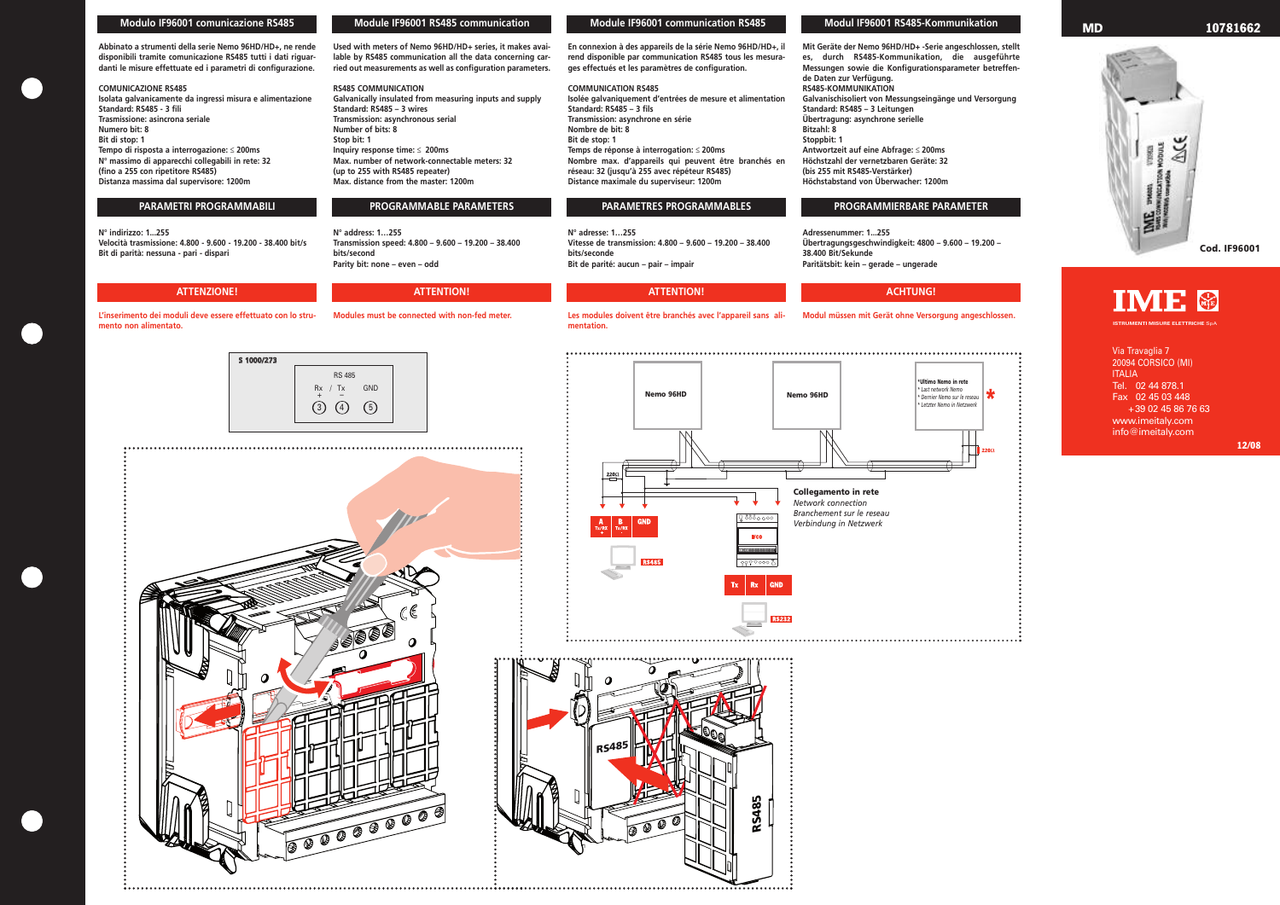## **Modulo IF96001 comunicazione RS485**

**Abbinato a strumenti della serie Nemo 96HD/HD+, ne rende disponibili tramite comunicazione RS485 tutti i dati riguardanti le misure effettuate ed i parametri di configurazione.**

## **COMUNICAZIONE RS485**

**Isolata galvanicamente da ingressi misura e alimentazione Standard: RS485 - 3 fili Trasmissione: asincrona seriale Numero bit: 8 Bit di stop: 1 Tempo di risposta a interrogazione:** ≤ **200ms N° massimo di apparecchi collegabili in rete: 32 (fino a 255 con ripetitore RS485) Distanza massima dal supervisore: 1200m**

**N° indirizzo: 1...255 Velocità trasmissione: 4.800 - 9.600 - 19.200 - 38.400 bit/s Bit di parità: nessuna - pari - dispari**

**L'inserimento dei moduli deve essere effettuato con lo strumento non alimentato.**

**Used with meters of Nemo 96HD/HD+ series, it makes available by RS485 communication all the data concerning carried out measurements as well as configuration parameters.**

**RS485 COMMUNICATION Galvanically insulated from measuring inputs and supply Standard: RS485 – 3 wires Transmission: asynchronous serial Number of bits: 8 Stop bit: 1 Inquiry response time:** ≤ **200ms Max. number of network-connectable meters: 32 (up to 255 with RS485 repeater) Max. distance from the master: 1200m**

**N° address: 1…255 Transmission speed: 4.800 – 9.600 – 19.200 – 38.400 bits/second Parity bit: none – even – odd**

**Modules must be connected with non-fed meter.**

**En connexion à des appareils de la série Nemo 96HD/HD+, il rend disponible par communication RS485 tous les mesurages effectués et les paramètres de configuration.** 

### **COMMUNICATION RS485**

**Isolée galvaniquement d'entrées de mesure et alimentation Standard: RS485 – 3 fils Transmission: asynchrone en série Nombre de bit: 8 Bit de stop: 1 Temps de réponse à interrogation:** ≤ **200ms Nombre max. d'appareils qui peuvent être branchés en réseau: 32 (jusqu'à 255 avec répéteur RS485) Distance maximale du superviseur: 1200m**

**N° adresse: 1…255 Vitesse de transmission: 4.800 – 9.600 – 19.200 – 38.400 bits/seconde Bit de parité: aucun – pair – impair**

**Les modules doivent être branchés avec l'appareil sans ali-**

**mentation.**

**Mit Geräte der Nemo 96HD/HD+ -Serie angeschlossen, stellt es, durch RS485-Kommunikation, die ausgeführte Messungen sowie die Konfigurationsparameter betreffende Daten zur Verfügung. RS485-KOMMUNIKATION Galvanischisoliert von Messungseingänge und Versorgung Standard: RS485 – 3 Leitungen Übertragung: asynchrone serielle Bitzahl: 8 Stoppbit: 1 Antwortzeit auf eine Abfrage:** ≤ **200ms Höchstzahl der vernetzbaren Geräte: 32 (bis 255 mit RS485-Verstärker) Höchstabstand von Überwacher: 1200m**

**Adressenummer: 1...255 Übertragungsgeschwindigkeit: 4800 – 9.600 – 19.200 – 38.400 Bit/Sekunde Paritätsbit: kein – gerade – ungerade**

**Modul müssen mit Gerät ohne Versorgung angeschlossen.**

### **Module IF96001 RS485 communication Module IF96001 communication RS485 Modul IF96001 RS485-Kommunikation**

# **PARAMETRI PROGRAMMABILI PROGRAMMABLE PARAMETERS PARAMETRES PROGRAMMABLES PROGRAMMIERBARE PARAMETER**









## **ATTENZIONE! ATTENTION! ATTENTION! ACHTUNG!**

Via Travaglia 7 20094 CORSICO (MI) ITALIA Tel. 02 44 878.1 Fax 02 45 03 448 +39 02 45 86 76 63 www.imeitaly.com info@imeitaly.com

**ISTRUMENTI MISURE ELETTRICHE** SpA



## **MD 10781662**

**Cod. IF96001**



**12/08**